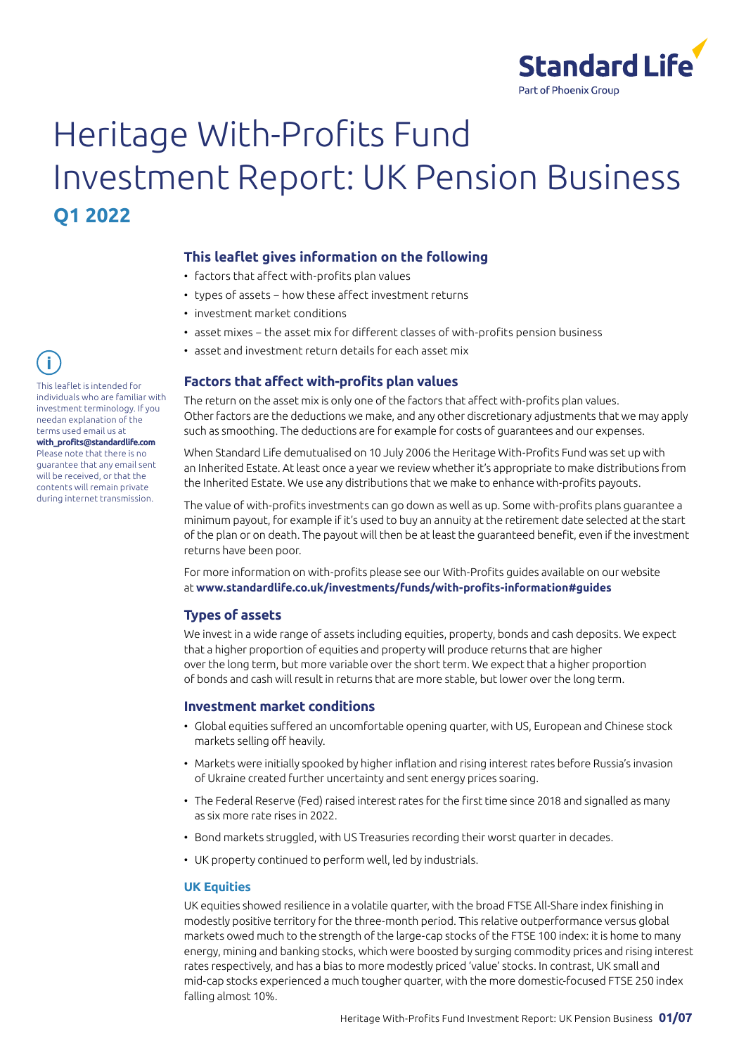

# Heritage With-Profits Fund Investment Report: UK Pension Business **Q1 2022**

# **This leaflet gives information on the following**

- factors that affect with-profits plan values
- types of assets − how these affect investment returns
- investment market conditions
- asset mixes − the asset mix for different classes of with-profits pension business
- asset and investment return details for each asset mix

#### **Factors that affect with-profits plan values**

The return on the asset mix is only one of the factors that affect with-profits plan values. Other factors are the deductions we make, and any other discretionary adjustments that we may apply such as smoothing. The deductions are for example for costs of guarantees and our expenses.

When Standard Life demutualised on 10 July 2006 the Heritage With-Profits Fund was set up with an Inherited Estate. At least once a year we review whether it's appropriate to make distributions from the Inherited Estate. We use any distributions that we make to enhance with-profits payouts.

The value of with-profits investments can go down as well as up. Some with-profits plans guarantee a minimum payout, for example if it's used to buy an annuity at the retirement date selected at the start of the plan or on death. The payout will then be at least the guaranteed benefit, even if the investment returns have been poor.

For more information on with-profits please see our With-Profits guides available on our website at **[www.standardlife.co.uk/investments/funds/with-profits-information#guides](http://www.standardlife.co.uk/investments/funds/with-profits-information#guides)**

#### **Types of assets**

We invest in a wide range of assets including equities, property, bonds and cash deposits. We expect that a higher proportion of equities and property will produce returns that are higher over the long term, but more variable over the short term. We expect that a higher proportion of bonds and cash will result in returns that are more stable, but lower over the long term.

#### **Investment market conditions**

- Global equities suffered an uncomfortable opening quarter, with US, European and Chinese stock markets selling off heavily.
- Markets were initially spooked by higher inflation and rising interest rates before Russia's invasion of Ukraine created further uncertainty and sent energy prices soaring.
- The Federal Reserve (Fed) raised interest rates for the first time since 2018 and signalled as many as six more rate rises in 2022.
- Bond markets struggled, with US Treasuries recording their worst quarter in decades.
- UK property continued to perform well, led by industrials.

#### **UK Equities**

UK equities showed resilience in a volatile quarter, with the broad FTSE All-Share index finishing in modestly positive territory for the three-month period. This relative outperformance versus global markets owed much to the strength of the large-cap stocks of the FTSE 100 index: it is home to many energy, mining and banking stocks, which were boosted by surging commodity prices and rising interest rates respectively, and has a bias to more modestly priced 'value' stocks. In contrast, UK small and mid-cap stocks experienced a much tougher quarter, with the more domestic-focused FTSE 250 index falling almost 10%.

This leaflet is intended for individuals who are familiar with investment terminology. If you needan explanation of the terms used email us at **with\_profits@standardlife.com** Please note that there is no guarantee that any email sent will be received, or that the contents will remain private during internet transmission.

î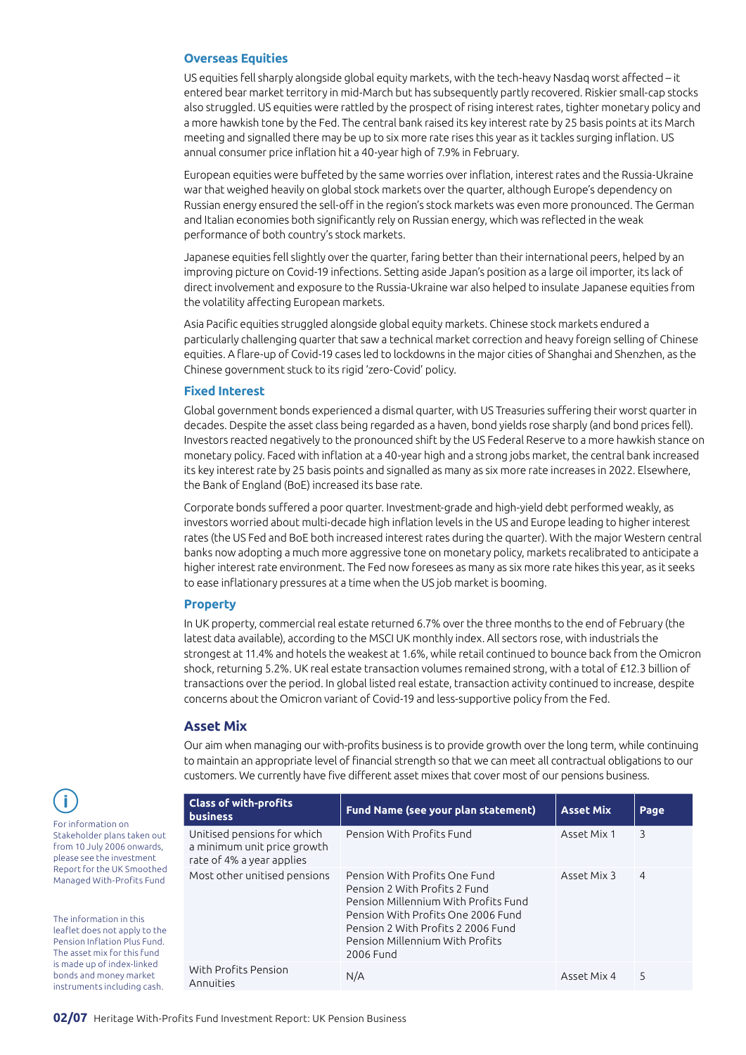#### **Overseas Equities**

US equities fell sharply alongside global equity markets, with the tech-heavy Nasdaq worst affected – it entered bear market territory in mid-March but has subsequently partly recovered. Riskier small-cap stocks also struggled. US equities were rattled by the prospect of rising interest rates, tighter monetary policy and a more hawkish tone by the Fed. The central bank raised its key interest rate by 25 basis points at its March meeting and signalled there may be up to six more rate rises this year as it tackles surging inflation. US annual consumer price inflation hit a 40-year high of 7.9% in February.

European equities were buffeted by the same worries over inflation, interest rates and the Russia-Ukraine war that weighed heavily on global stock markets over the quarter, although Europe's dependency on Russian energy ensured the sell-off in the region's stock markets was even more pronounced. The German and Italian economies both significantly rely on Russian energy, which was reflected in the weak performance of both country's stock markets.

Japanese equities fell slightly over the quarter, faring better than their international peers, helped by an improving picture on Covid-19 infections. Setting aside Japan's position as a large oil importer, its lack of direct involvement and exposure to the Russia-Ukraine war also helped to insulate Japanese equities from the volatility affecting European markets.

Asia Pacific equities struggled alongside global equity markets. Chinese stock markets endured a particularly challenging quarter that saw a technical market correction and heavy foreign selling of Chinese equities. A flare-up of Covid-19 cases led to lockdowns in the major cities of Shanghai and Shenzhen, as the Chinese government stuck to its rigid 'zero-Covid' policy.

#### **Fixed Interest**

Global government bonds experienced a dismal quarter, with US Treasuries suffering their worst quarter in decades. Despite the asset class being regarded as a haven, bond yields rose sharply (and bond prices fell). Investors reacted negatively to the pronounced shift by the US Federal Reserve to a more hawkish stance on monetary policy. Faced with inflation at a 40-year high and a strong jobs market, the central bank increased its key interest rate by 25 basis points and signalled as many as six more rate increases in 2022. Elsewhere, the Bank of England (BoE) increased its base rate.

Corporate bonds suffered a poor quarter. Investment-grade and high-yield debt performed weakly, as investors worried about multi-decade high inflation levels in the US and Europe leading to higher interest rates (the US Fed and BoE both increased interest rates during the quarter). With the major Western central banks now adopting a much more aggressive tone on monetary policy, markets recalibrated to anticipate a higher interest rate environment. The Fed now foresees as many as six more rate hikes this year, as it seeks to ease inflationary pressures at a time when the US job market is booming.

#### **Property**

In UK property, commercial real estate returned 6.7% over the three months to the end of February (the latest data available), according to the MSCI UK monthly index. All sectors rose, with industrials the strongest at 11.4% and hotels the weakest at 1.6%, while retail continued to bounce back from the Omicron shock, returning 5.2%. UK real estate transaction volumes remained strong, with a total of £12.3 billion of transactions over the period. In global listed real estate, transaction activity continued to increase, despite concerns about the Omicron variant of Covid-19 and less-supportive policy from the Fed.

#### **Asset Mix**

Our aim when managing our with-profits business is to provide growth over the long term, while continuing to maintain an appropriate level of financial strength so that we can meet all contractual obligations to our customers. We currently have five different asset mixes that cover most of our pensions business.

| <b>Class of with-profits</b><br><b>business</b>                                         | Fund Name (see your plan statement)                                                                                                                                                                                                | <b>Asset Mix</b> | Page           |
|-----------------------------------------------------------------------------------------|------------------------------------------------------------------------------------------------------------------------------------------------------------------------------------------------------------------------------------|------------------|----------------|
| Unitised pensions for which<br>a minimum unit price growth<br>rate of 4% a year applies | Pension With Profits Fund                                                                                                                                                                                                          | Asset Mix 1      | 3              |
| Most other unitised pensions                                                            | Pension With Profits One Fund<br>Pension 2 With Profits 2 Fund<br>Pension Millennium With Profits Fund<br>Pension With Profits One 2006 Fund<br>Pension 2 With Profits 2 2006 Fund<br>Pension Millennium With Profits<br>2006 Fund | Asset Mix 3      | $\overline{4}$ |
| With Profits Pension<br>Annuities                                                       | N/A                                                                                                                                                                                                                                | Asset Mix 4      | 5              |

For information on Stakeholder plans taken out from 10 July 2006 onwards, please see the investment Report for the UK Smoothed Managed With-Profits Fund

Ť

The information in this leaflet does not apply to the Pension Inflation Plus Fund. The asset mix for this fund is made up of index-linked bonds and money market instruments including cash.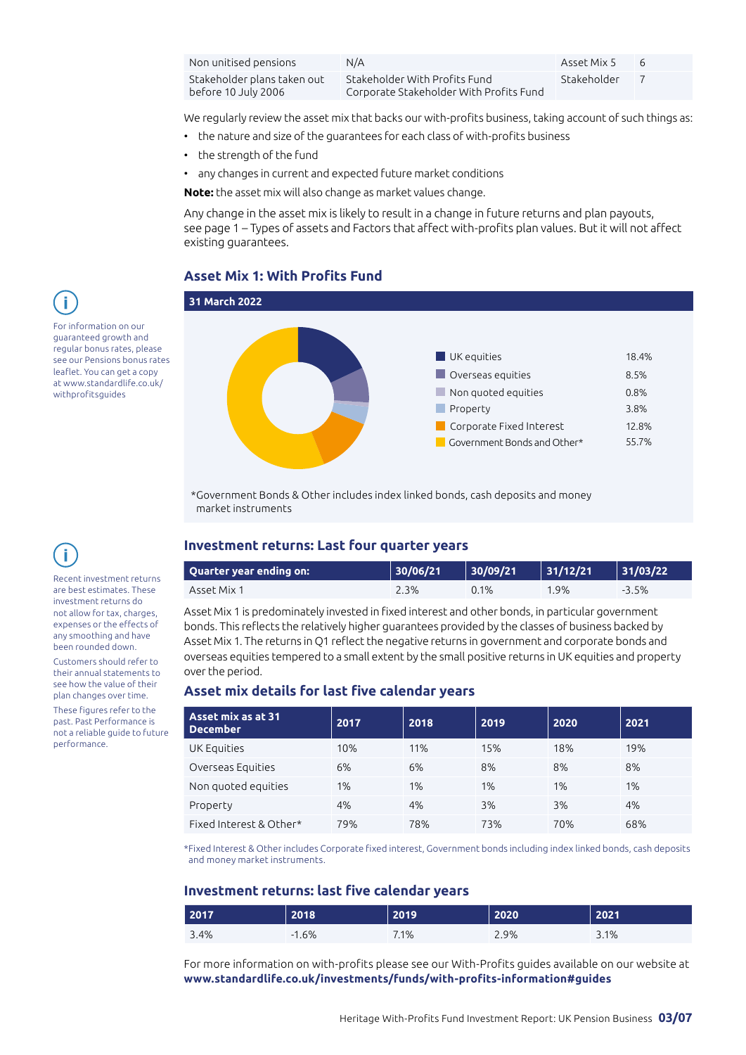| Non unitised pensions                              | N/A                                                                      | Asset Mix 5 | - 6 |
|----------------------------------------------------|--------------------------------------------------------------------------|-------------|-----|
| Stakeholder plans taken out<br>before 10 July 2006 | Stakeholder With Profits Fund<br>Corporate Stakeholder With Profits Fund | Stakeholder |     |

We regularly review the asset mix that backs our with-profits business, taking account of such things as:

- the nature and size of the guarantees for each class of with-profits business
- the strength of the fund
- any changes in current and expected future market conditions

**Note:** the asset mix will also change as market values change.

Any change in the asset mix is likely to result in a change in future returns and plan payouts, see page 1 – Types of assets and Factors that affect with-profits plan values. But it will not affect existing guarantees.

#### **Asset Mix 1: With Profits Fund**



\*Government Bonds & Other includes index linked bonds, cash deposits and money market instruments

#### **Investment returns: Last four quarter years**

| Quarter year ending on: | 30/06/21 | 30/09/21 | 31/12/21 | 31/03/22 |
|-------------------------|----------|----------|----------|----------|
| Asset Mix 1             | 2.3%     | 0.1%     | 9%،      | $-3.5%$  |

Asset Mix 1 is predominately invested in fixed interest and other bonds, in particular government bonds. This reflects the relatively higher guarantees provided by the classes of business backed by Asset Mix 1. The returns in Q1 reflect the negative returns in government and corporate bonds and overseas equities tempered to a small extent by the small positive returns in UK equities and property over the period.

#### **Asset mix details for last five calendar years**

| Asset mix as at 31<br><b>December</b> | 2017 | 2018 | 2019 | 2020 | 2021 |
|---------------------------------------|------|------|------|------|------|
| UK Equities                           | 10%  | 11%  | 15%  | 18%  | 19%  |
| Overseas Equities                     | 6%   | 6%   | 8%   | 8%   | 8%   |
| Non quoted equities                   | 1%   | 1%   | 1%   | 1%   | 1%   |
| Property                              | 4%   | 4%   | 3%   | 3%   | 4%   |
| Fixed Interest & Other*               | 79%  | 78%  | 73%  | 70%  | 68%  |

\*Fixed Interest & Other includes Corporate fixed interest, Government bonds including index linked bonds, cash deposits and money market instruments.

# **Investment returns: last five calendar years**

| 2017 | 2018    | 2019 | 2020 | 2021 |
|------|---------|------|------|------|
| 3.4% | $-1.6%$ | 7.1% | 2.9% | 3.1% |

For more information on with-profits please see our With-Profits guides available on our website at **[www.standardlife.co.uk/investments/funds/with-profits-information#guides](http://www.standardlife.co.uk/investments/funds/with-profits-information#guides)**



guaranteed growth and regular bonus rates, please see our Pensions bonus rates leaflet. You can get a copy at [www.standardlife.co.uk/](http://www.standardlife.co.uk/withprofits) [withprofits](http://www.standardlife.co.uk/withprofits)guides

î Recent investment returns

are best estimates. These investment returns do not allow for tax, charges, expenses or the effects of any smoothing and have been rounded down.

Customers should refer to their annual statements to see how the value of their plan changes over time. These figures refer to the past. Past Performance is not a reliable guide to future performance.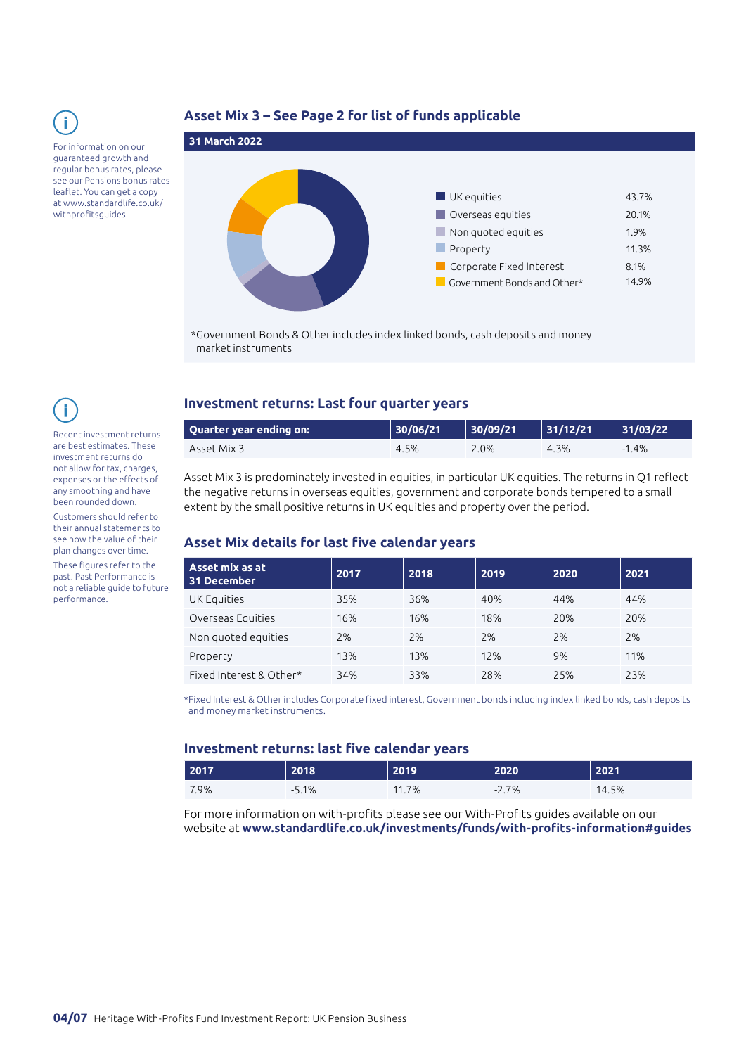

#### For information on our guaranteed growth and regular bonus rates, please see our Pensions bonus rates leaflet. You can get a copy at [www.standardlife.co.uk/](http://www.standardlife.co.uk/withprofits) [withprofits](http://www.standardlife.co.uk/withprofits)guides

# **Asset Mix 3 – See Page 2 for list of funds applicable**



\*Government Bonds & Other includes index linked bonds, cash deposits and money market instruments

Recent investment returns are best estimates. These investment returns do not allow for tax, charges, expenses or the effects of any smoothing and have been rounded down.

Customers should refer to their annual statements to see how the value of their plan changes over time. These figures refer to the past. Past Performance is not a reliable guide to future performance.

# **Investment returns: Last four quarter years**

| Quarter year ending on: \ | 30/06/21 | 30/09/21 | 31/12/21 | 31/03/22 |
|---------------------------|----------|----------|----------|----------|
| Asset Mix 3               | 4.5%     | 2.0%     | 4.3%     | $-1.4\%$ |

Asset Mix 3 is predominately invested in equities, in particular UK equities. The returns in Q1 reflect the negative returns in overseas equities, government and corporate bonds tempered to a small extent by the small positive returns in UK equities and property over the period.

# **Asset Mix details for last five calendar years**

| Asset mix as at<br>31 December | 2017 | 2018 | 2019 | 2020 | 2021 |
|--------------------------------|------|------|------|------|------|
| UK Equities                    | 35%  | 36%  | 40%  | 44%  | 44%  |
| Overseas Equities              | 16%  | 16%  | 18%  | 20%  | 20%  |
| Non quoted equities            | 2%   | 2%   | 2%   | 2%   | 2%   |
| Property                       | 13%  | 13%  | 12%  | 9%   | 11%  |
| Fixed Interest & Other*        | 34%  | 33%  | 28%  | 25%  | 23%  |

\*Fixed Interest & Other includes Corporate fixed interest, Government bonds including index linked bonds, cash deposits and money market instruments.

#### **Investment returns: last five calendar years**

| 2017 | 2018     | 2019  | 2020    | 2021  |
|------|----------|-------|---------|-------|
| 7.9% | $-5.1\%$ | 11.7% | $-2.7%$ | 14.5% |

For more information on with-profits please see our With-Profits guides available on our website at **[www.standardlife.co.uk/investments/funds/with-profits-information#guides](http://www.standardlife.co.uk/investments/funds/with-profits-information#guides)**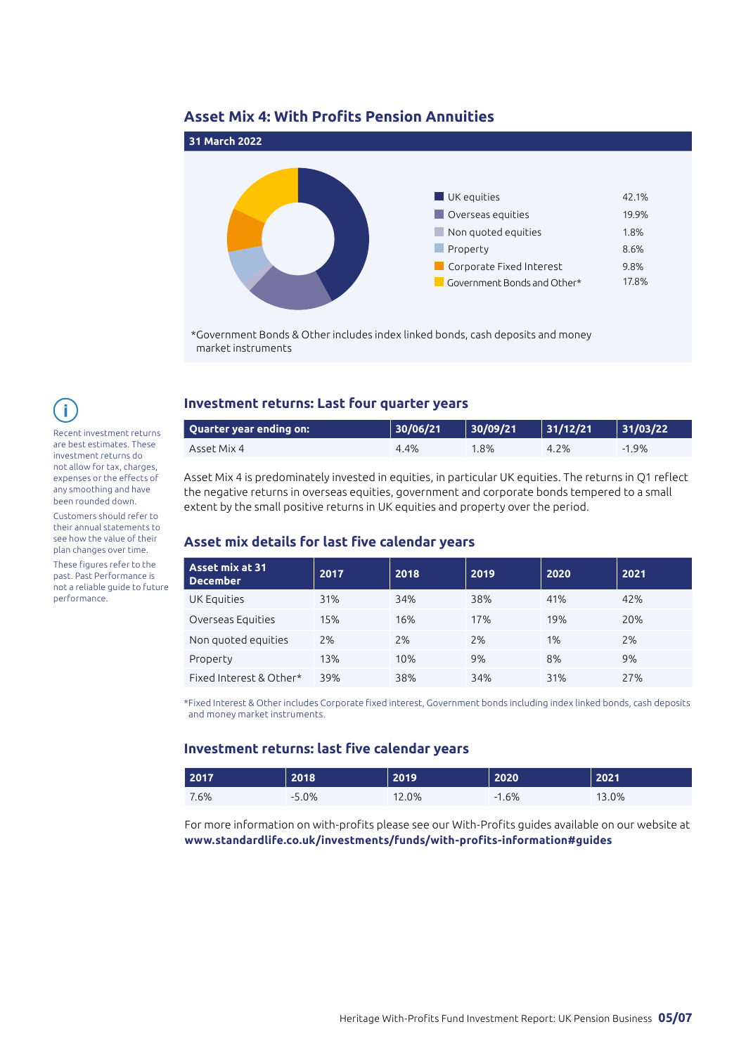# **Asset Mix 4: With Profits Pension Annuities**



\*Government Bonds & Other includes index linked bonds, cash deposits and money market instruments

# f.

Recent investment returns are best estimates. These investment returns do not allow for tax, charges, expenses or the effects of any smoothing and have been rounded down.

Customers should refer to their annual statements to see how the value of their plan changes over time.

These figures refer to the past. Past Performance is not a reliable guide to future performance.

#### **Investment returns: Last four quarter years**

| <b>Quarter year ending on:</b> | 30/06/21 | 30/09/21 | $\vert$ 31/12/21 | 31/03/22 |
|--------------------------------|----------|----------|------------------|----------|
| Asset Mix 4                    | 4.4%     | $.8\%$   | 4.2%             | $-1.9\%$ |

Asset Mix 4 is predominately invested in equities, in particular UK equities. The returns in Q1 reflect the negative returns in overseas equities, government and corporate bonds tempered to a small extent by the small positive returns in UK equities and property over the period.

# **Asset mix details for last five calendar years**

| Asset mix at 31<br><b>December</b> | 2017 | 2018 | 2019 | 2020 | 2021 |
|------------------------------------|------|------|------|------|------|
| UK Equities                        | 31%  | 34%  | 38%  | 41%  | 42%  |
| Overseas Equities                  | 15%  | 16%  | 17%  | 19%  | 20%  |
| Non quoted equities                | 2%   | 2%   | 2%   | 1%   | 2%   |
| Property                           | 13%  | 10%  | 9%   | 8%   | 9%   |
| Fixed Interest & Other*            | 39%  | 38%  | 34%  | 31%  | 27%  |

\*Fixed Interest & Other includes Corporate fixed interest, Government bonds including index linked bonds, cash deposits and money market instruments.

#### **Investment returns: last five calendar years**

| 2017 | 2018        | 2019 | 2020 | 2021  |
|------|-------------|------|------|-------|
| 7.6% | 5.0%<br>- - | 2.0% | .6%  | 13.0% |

For more information on with-profits please see our With-Profits guides available on our website at **[www.standardlife.co.uk/investments/funds/with-profits-information#guides](http://www.standardlife.co.uk/investments/funds/with-profits-information#guides)**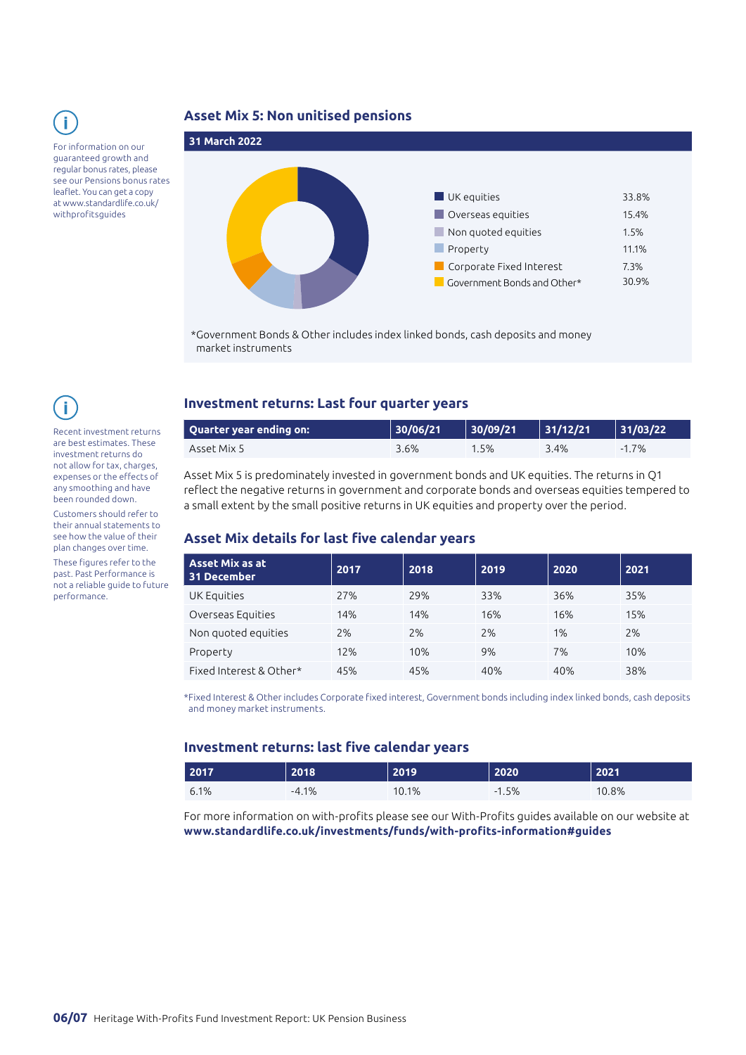For information on our guaranteed growth and

regular bonus rates, please see our Pensions bonus rates leaflet. You can get a copy at [www.standardlife.co.uk/](http://www.standardlife.co.uk/withprofits) [withprofits](http://www.standardlife.co.uk/withprofits)guides

### **Asset Mix 5: Non unitised pensions**



\*Government Bonds & Other includes index linked bonds, cash deposits and money market instruments

Recent investment returns are best estimates. These investment returns do not allow for tax, charges, expenses or the effects of any smoothing and have been rounded down.

Customers should refer to their annual statements to see how the value of their plan changes over time.

These figures refer to the past. Past Performance is not a reliable guide to future performance.

#### **Investment returns: Last four quarter years**

| Quarter year ending on: 1 | 30/06/21 | 30/09/21 | 31/12/21 | 131/03/22 |
|---------------------------|----------|----------|----------|-----------|
| Asset Mix 5               | 3.6%     | 1.5%     | 3.4%     | $-1.7%$   |

Asset Mix 5 is predominately invested in government bonds and UK equities. The returns in Q1 reflect the negative returns in government and corporate bonds and overseas equities tempered to a small extent by the small positive returns in UK equities and property over the period.

# **Asset Mix details for last five calendar years**

| <b>Asset Mix as at</b><br>31 December | 2017 | 2018 | 2019 | 2020 | 2021 |
|---------------------------------------|------|------|------|------|------|
| UK Equities                           | 27%  | 29%  | 33%  | 36%  | 35%  |
| Overseas Equities                     | 14%  | 14%  | 16%  | 16%  | 15%  |
| Non quoted equities                   | 2%   | 2%   | 2%   | 1%   | 2%   |
| Property                              | 12%  | 10%  | 9%   | 7%   | 10%  |
| Fixed Interest & Other*               | 45%  | 45%  | 40%  | 40%  | 38%  |

\*Fixed Interest & Other includes Corporate fixed interest, Government bonds including index linked bonds, cash deposits and money market instruments.

#### **Investment returns: last five calendar years**

| 2017 | 2018    | 2019 | 2020    | 2021  |
|------|---------|------|---------|-------|
| 6.1% | $-4.1%$ | 0.1% | $-1.5%$ | 10.8% |

For more information on with-profits please see our With-Profits guides available on our website at **[www.standardlife.co.uk/investments/funds/with-profits-information#guides](http://www.standardlife.co.uk/investments/funds/with-profits-information#guides)**